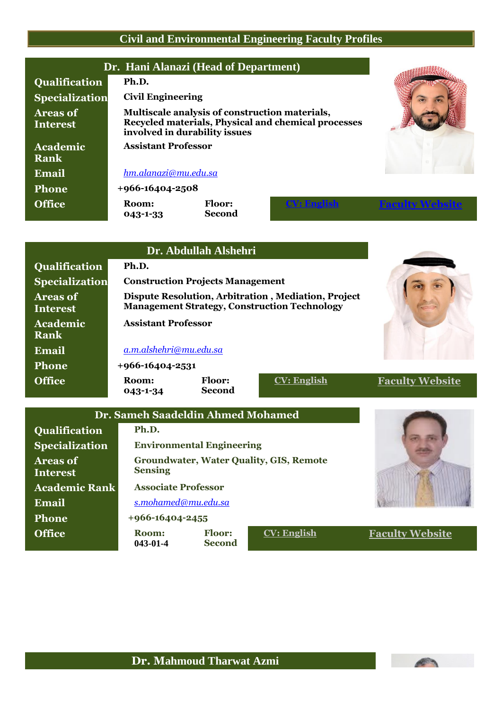## **Civil and Environmental Engineering Faculty Profiles**

|                                    |                            | Dr. Hani Alanazi (Head of Department)                                           |                                                     |                        |
|------------------------------------|----------------------------|---------------------------------------------------------------------------------|-----------------------------------------------------|------------------------|
| <b>Qualification</b>               | Ph.D.                      |                                                                                 |                                                     |                        |
| <b>Specialization</b>              | <b>Civil Engineering</b>   |                                                                                 |                                                     |                        |
| <b>Areas of</b><br><b>Interest</b> |                            | Multiscale analysis of construction materials,<br>involved in durability issues | Recycled materials, Physical and chemical processes |                        |
| Academic                           | <b>Assistant Professor</b> |                                                                                 |                                                     |                        |
| <b>Rank</b>                        |                            |                                                                                 |                                                     |                        |
| Email                              | hm.alanazi@mu.edu.sa       |                                                                                 |                                                     |                        |
| <b>Phone</b>                       | $+966 - 16404 - 2508$      |                                                                                 |                                                     |                        |
| <b>Office</b>                      | Room:<br>043-1-33          | <b>Floor:</b><br><b>Second</b>                                                  |                                                     | <b>Faculty Website</b> |

|                                    |                                                                                                            | Dr. Abdullah Alshehri                   |                                                |                        |
|------------------------------------|------------------------------------------------------------------------------------------------------------|-----------------------------------------|------------------------------------------------|------------------------|
| Qualification                      | Ph.D.                                                                                                      |                                         |                                                |                        |
| <b>Specialization</b>              |                                                                                                            | <b>Construction Projects Management</b> |                                                |                        |
| <b>Areas of</b><br><b>Interest</b> | Dispute Resolution, Arbitration, Mediation, Project<br><b>Management Strategy, Construction Technology</b> |                                         |                                                |                        |
| Academic<br><b>Rank</b>            | <b>Assistant Professor</b>                                                                                 |                                         |                                                |                        |
| <b>Email</b>                       | a.m.alshehri@mu.edu.sa                                                                                     |                                         |                                                |                        |
| <b>Phone</b>                       | $+966 - 16404 - 2531$                                                                                      |                                         |                                                |                        |
| <b>Office</b>                      | Room:<br>043-1-34                                                                                          | Floor:<br><b>Second</b>                 | <b>CV: English</b>                             | <b>Faculty Website</b> |
|                                    | Dr. Sameh Saadeldin Ahmed Mohamed                                                                          |                                         |                                                |                        |
| Qualification                      | Ph.D.                                                                                                      |                                         |                                                |                        |
| <b>Specialization</b>              |                                                                                                            | <b>Environmental Engineering</b>        |                                                |                        |
| <b>Areas of</b><br><b>Interest</b> | <b>Sensing</b>                                                                                             |                                         | <b>Groundwater, Water Quality, GIS, Remote</b> |                        |
| <b>Academic Rank</b>               | <b>Associate Professor</b>                                                                                 |                                         |                                                |                        |
| Email                              | s.mohamed@mu.edu.sa                                                                                        |                                         |                                                |                        |

**Phone +966-16404-2455 Office Room: 043-01-4 Floor: Second**

**CV: [English](https://www.mu.edu.sa/sites/default/files/content/2017/06/sammeh_0.pdf) Faculty [Website](http://faculty.mu.edu.sa/smohamed)**

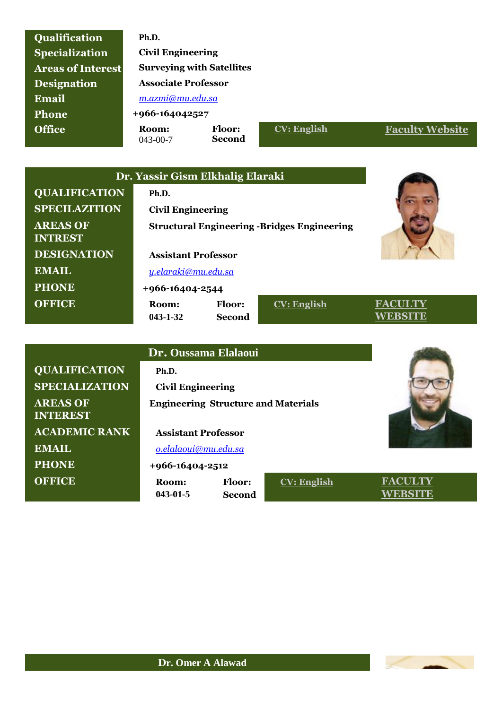| <b>Specialization</b><br><b>Areas of Interest</b> | <b>Civil Engineering</b><br><b>Surveying with Satellites</b> |                                |                                                     |                           |
|---------------------------------------------------|--------------------------------------------------------------|--------------------------------|-----------------------------------------------------|---------------------------|
| <b>Designation</b>                                | <b>Associate Professor</b>                                   |                                |                                                     |                           |
| Email                                             | m.azmi@mu.edu.sa                                             |                                |                                                     |                           |
| <b>Phone</b>                                      | +966-164042527                                               |                                |                                                     |                           |
| <b>Office</b>                                     | Room:<br>$043 - 00 - 7$                                      | Floor:<br><b>Second</b>        | <b>CV: English</b>                                  | <b>Faculty Website</b>    |
|                                                   |                                                              |                                |                                                     |                           |
|                                                   | Dr. Yassir Gism Elkhalig Elaraki                             |                                |                                                     |                           |
| <b>QUALIFICATION</b>                              | Ph.D.                                                        |                                |                                                     |                           |
| <b>SPECILAZITION</b>                              | <b>Civil Engineering</b>                                     |                                |                                                     |                           |
| <b>AREAS OF</b><br><b>INTREST</b>                 |                                                              |                                | <b>Structural Engineering - Bridges Engineering</b> |                           |
| <b>DESIGNATION</b>                                | <b>Assistant Professor</b>                                   |                                |                                                     |                           |
| <b>EMAIL</b>                                      | <u>y.elaraki@mu.edu.sa</u>                                   |                                |                                                     |                           |
| <b>PHONE</b>                                      | +966-16404-2544                                              |                                |                                                     |                           |
| <b>OFFICE</b>                                     | Room:<br>$043 - 1 - 32$                                      | <b>Floor:</b><br><b>Second</b> | <b>CV: English</b>                                  | <b>FACULTY</b><br>WEBSITE |
|                                                   |                                                              |                                |                                                     |                           |

**Qualification Ph.D.**

|                                    | Dr. Oussama Elalaoui       |                                            |                    |                |
|------------------------------------|----------------------------|--------------------------------------------|--------------------|----------------|
| <b>QUALIFICATION</b>               | Ph.D.                      |                                            |                    |                |
| <b>SPECIALIZATION</b>              | <b>Civil Engineering</b>   |                                            |                    |                |
| <b>AREAS OF</b><br><b>INTEREST</b> |                            | <b>Engineering Structure and Materials</b> |                    |                |
| <b>ACADEMIC RANK</b>               | <b>Assistant Professor</b> |                                            |                    |                |
| <b>EMAIL</b>                       | o.elalaoui@mu.edu.sa       |                                            |                    |                |
| <b>PHONE</b>                       | $+966 - 16404 - 2512$      |                                            |                    |                |
| <b>OFFICE</b>                      | Room:<br>$043 - 01 - 5$    | <b>Floor:</b><br>Second                    | <b>CV: English</b> | <b>FACULTY</b> |

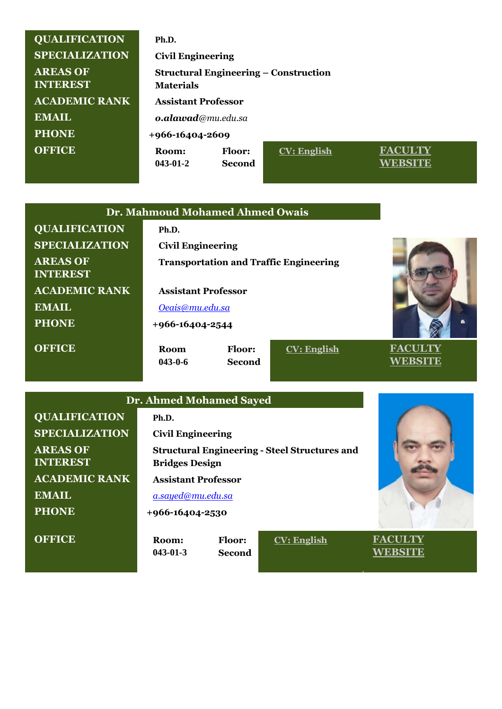| <b>QUALIFICATION</b>               | Ph.D.                                                            |                  |                    |                |
|------------------------------------|------------------------------------------------------------------|------------------|--------------------|----------------|
| <b>SPECIALIZATION</b>              | <b>Civil Engineering</b>                                         |                  |                    |                |
| <b>AREAS OF</b><br><b>INTEREST</b> | <b>Structural Engineering – Construction</b><br><b>Materials</b> |                  |                    |                |
| <b>ACADEMIC RANK</b>               | <b>Assistant Professor</b>                                       |                  |                    |                |
| <b>EMAIL</b>                       | o.alawad@mu.edu.sa                                               |                  |                    |                |
| <b>PHONE</b>                       | +966-16404-2609                                                  |                  |                    |                |
| <b>OFFICE</b>                      | Room:<br>$043 - 01 - 2$                                          | Floor:<br>Second | <b>CV: English</b> | <b>FACULTY</b> |

|                                    | Dr. Mahmoud Mohamed Ahmed Owais |               |                                               |                |
|------------------------------------|---------------------------------|---------------|-----------------------------------------------|----------------|
| <b>QUALIFICATION</b>               | Ph.D.                           |               |                                               |                |
| <b>SPECIALIZATION</b>              | <b>Civil Engineering</b>        |               |                                               |                |
| <b>AREAS OF</b><br><b>INTEREST</b> |                                 |               | <b>Transportation and Traffic Engineering</b> |                |
| <b>ACADEMIC RANK</b>               | <b>Assistant Professor</b>      |               |                                               |                |
| <b>EMAIL</b>                       | Oeais@mu.edu.sa                 |               |                                               |                |
| <b>PHONE</b>                       | +966-16404-2544                 |               |                                               |                |
| <b>OFFICE</b>                      | <b>Room</b>                     | <b>Floor:</b> | <b>CV: English</b>                            | <b>FACULTY</b> |
|                                    | $043 - 0 - 6$                   | <b>Second</b> |                                               | WEBSITE        |
|                                    |                                 |               |                                               |                |
| <b>Dr. Ahmed Mohamed Sayed</b>     |                                 |               |                                               |                |
| <b>QUALIFICATION</b>               | Ph.D.                           |               |                                               |                |

| <b>SPECIALIZATION</b>              | <b>Civil Engineering</b>   |                                |                                                      |                |
|------------------------------------|----------------------------|--------------------------------|------------------------------------------------------|----------------|
| <b>AREAS OF</b><br><b>INTEREST</b> | <b>Bridges Design</b>      |                                | <b>Structural Engineering - Steel Structures and</b> |                |
| <b>ACADEMIC RANK</b>               | <b>Assistant Professor</b> |                                |                                                      |                |
| <b>EMAIL</b>                       | a.sayed@mu.edu.sa          |                                |                                                      |                |
| <b>PHONE</b>                       | +966-16404-2530            |                                |                                                      |                |
| <b>OFFICE</b>                      | Room:<br>$043 - 01 - 3$    | <b>Floor:</b><br><b>Second</b> | <b>CV: English</b>                                   | <b>FACULTY</b> |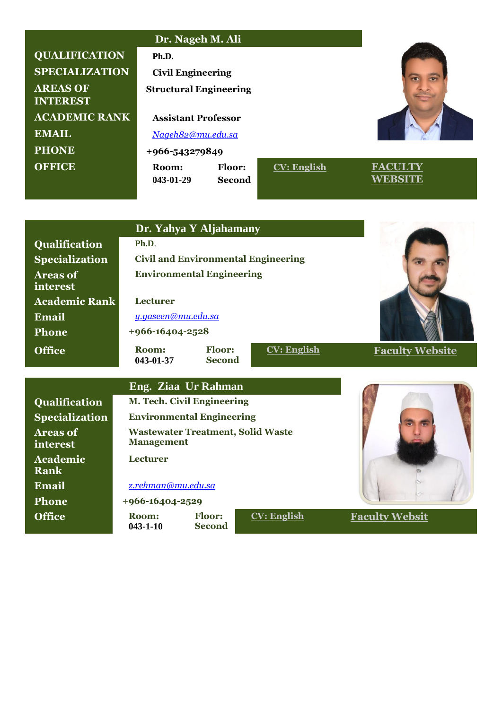|                                    | Dr. Nageh M. Ali              |                                |                    |                |
|------------------------------------|-------------------------------|--------------------------------|--------------------|----------------|
| <b>QUALIFICATION</b>               | Ph.D.                         |                                |                    |                |
| <b>SPECIALIZATION</b>              | <b>Civil Engineering</b>      |                                |                    |                |
| <b>AREAS OF</b><br><b>INTEREST</b> | <b>Structural Engineering</b> |                                |                    |                |
| <b>ACADEMIC RANK</b>               | <b>Assistant Professor</b>    |                                |                    |                |
| <b>EMAIL</b>                       | Nageh82@mu.edu.sa             |                                |                    |                |
| <b>PHONE</b>                       | +966-543279849                |                                |                    |                |
| <b>OFFICE</b>                      | Room:<br>043-01-29            | <b>Floor:</b><br><b>Second</b> | <b>CV: English</b> | <b>FACULTY</b> |

| Qualification<br>Ph.D.<br><b>Civil and Environmental Engineering</b><br><b>Specialization</b><br><b>Environmental Engineering</b><br><b>Areas of</b><br>interest<br><b>Lecturer</b><br><b>Academic Rank</b><br><b>Email</b><br>y.yaseen@mu.edu.sa<br>Phone<br>+966-16404-2528 |  |
|-------------------------------------------------------------------------------------------------------------------------------------------------------------------------------------------------------------------------------------------------------------------------------|--|
|                                                                                                                                                                                                                                                                               |  |
|                                                                                                                                                                                                                                                                               |  |
|                                                                                                                                                                                                                                                                               |  |
|                                                                                                                                                                                                                                                                               |  |
|                                                                                                                                                                                                                                                                               |  |
|                                                                                                                                                                                                                                                                               |  |
| <b>Floor:</b><br><b>CV: English</b><br><b>Office</b><br>Room:<br><b>Faculty Website</b><br><b>Second</b><br>043-01-37                                                                                                                                                         |  |
|                                                                                                                                                                                                                                                                               |  |
| Eng. Ziaa Ur Rahman                                                                                                                                                                                                                                                           |  |
| M. Tech. Civil Engineering<br>Qualification                                                                                                                                                                                                                                   |  |
| <b>Environmental Engineering</b><br><b>Specialization</b>                                                                                                                                                                                                                     |  |
| <b>Wastewater Treatment, Solid Waste</b><br><b>Areas of</b><br><b>Management</b><br>interest                                                                                                                                                                                  |  |
| <b>Lecturer</b><br>Academic<br><b>Rank</b>                                                                                                                                                                                                                                    |  |
| Email<br>z.rehman@mu.edu.sa                                                                                                                                                                                                                                                   |  |
| +966-16404-2529<br><b>Phone</b>                                                                                                                                                                                                                                               |  |
| <b>Office</b><br><b>Floor:</b><br><b>CV: English</b><br><b>Faculty Websit</b><br>Room:<br>$043 - 1 - 10$<br><b>Second</b>                                                                                                                                                     |  |